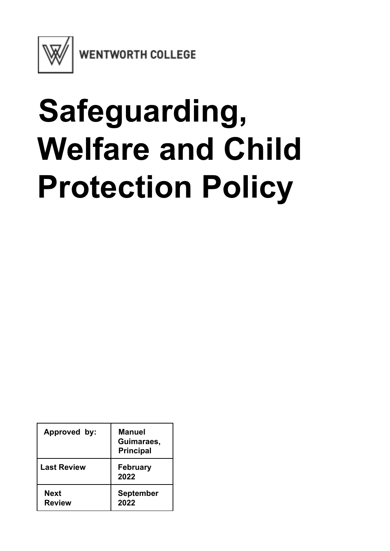

**WENTWORTH COLLEGE** 

# **Safeguarding, Welfare and Child Protection Policy**

| Approved by:          | <b>Manuel</b><br>Guimaraes,<br><b>Principal</b> |
|-----------------------|-------------------------------------------------|
| <b>Last Review</b>    | <b>February</b><br>2022                         |
| Next<br><b>Review</b> | <b>September</b><br>2022                        |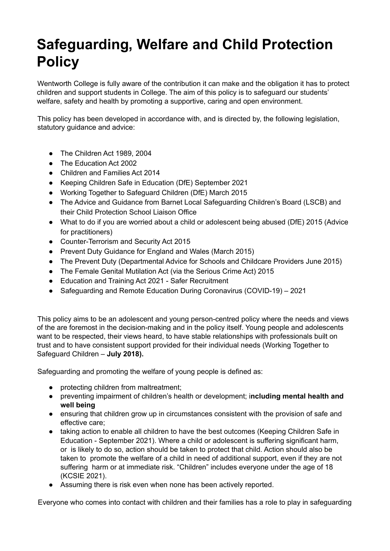# **Safeguarding, Welfare and Child Protection Policy**

Wentworth College is fully aware of the contribution it can make and the obligation it has to protect children and support students in College. The aim of this policy is to safeguard our students' welfare, safety and health by promoting a supportive, caring and open environment.

This policy has been developed in accordance with, and is directed by, the following legislation, statutory guidance and advice:

- The Children Act 1989, 2004
- The Education Act 2002
- Children and Families Act 2014
- Keeping Children Safe in Education (DfE) September 2021
- Working Together to Safeguard Children (DfE) March 2015
- The Advice and Guidance from Barnet Local Safeguarding Children's Board (LSCB) and their Child Protection School Liaison Office
- What to do if you are worried about a child or adolescent being abused (DfE) 2015 (Advice for practitioners)
- Counter-Terrorism and Security Act 2015
- Prevent Duty Guidance for England and Wales (March 2015)
- The Prevent Duty (Departmental Advice for Schools and Childcare Providers June 2015)
- The Female Genital Mutilation Act (via the Serious Crime Act) 2015
- Education and Training Act 2021 Safer Recruitment
- Safeguarding and Remote Education During Coronavirus (COVID-19) 2021

This policy aims to be an adolescent and young person-centred policy where the needs and views of the are foremost in the decision-making and in the policy itself. Young people and adolescents want to be respected, their views heard, to have stable relationships with professionals built on trust and to have consistent support provided for their individual needs (Working Together to Safeguard Children – **July 2018).**

Safeguarding and promoting the welfare of young people is defined as:

- protecting children from maltreatment;
- preventing impairment of children's health or development; i**ncluding mental health and well being**
- ensuring that children grow up in circumstances consistent with the provision of safe and effective care;
- taking action to enable all children to have the best outcomes (Keeping Children Safe in Education - September 2021). Where a child or adolescent is suffering significant harm, or is likely to do so, action should be taken to protect that child. Action should also be taken to promote the welfare of a child in need of additional support, even if they are not suffering harm or at immediate risk. "Children" includes everyone under the age of 18 (KCSIE 2021).
- Assuming there is risk even when none has been actively reported.

Everyone who comes into contact with children and their families has a role to play in safeguarding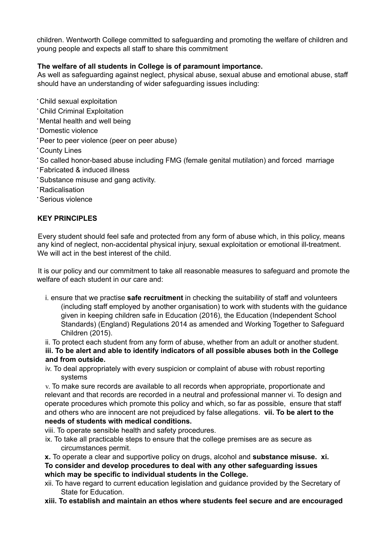children. Wentworth College committed to safeguarding and promoting the welfare of children and young people and expects all staff to share this commitment

# **The welfare of all students in College is of paramount importance.**

As well as safeguarding against neglect, physical abuse, sexual abuse and emotional abuse, staff should have an understanding of wider safeguarding issues including:

- Child sexual exploitation
- Child Criminal Exploitation
- Mental health and well being
- Domestic violence
- Peer to peer violence (peer on peer abuse)
- County Lines
- So called honor-based abuse including FMG (female genital mutilation) and forced marriage
- Fabricated & induced illness
- Substance misuse and gang activity.
- Radicalisation
- Serious violence

#### **KEY PRINCIPLES**

Every student should feel safe and protected from any form of abuse which, in this policy, means any kind of neglect, non-accidental physical injury, sexual exploitation or emotional ill-treatment. We will act in the best interest of the child.

It is our policy and our commitment to take all reasonable measures to safeguard and promote the welfare of each student in our care and:

i. ensure that we practise **safe recruitment** in checking the suitability of staff and volunteers (including staff employed by another organisation) to work with students with the guidance given in keeping children safe in Education (2016), the Education (Independent School Standards) (England) Regulations 2014 as amended and Working Together to Safeguard Children (2015).

ii. To protect each student from any form of abuse, whether from an adult or another student. **iii. To be alert and able to identify indicators of all possible abuses both in the College and from outside.**

iv. To deal appropriately with every suspicion or complaint of abuse with robust reporting systems

v. To make sure records are available to all records when appropriate, proportionate and relevant and that records are recorded in a neutral and professional manner vi. To design and operate procedures which promote this policy and which, so far as possible, ensure that staff and others who are innocent are not prejudiced by false allegations. **vii. To be alert to the needs of students with medical conditions.**

viii. To operate sensible health and safety procedures.

ix. To take all practicable steps to ensure that the college premises are as secure as circumstances permit.

**x.** To operate a clear and supportive policy on drugs, alcohol and **substance misuse. xi. To consider and develop procedures to deal with any other safeguarding issues which may be specific to individual students in the College.**

xii. To have regard to current education legislation and guidance provided by the Secretary of State for Education.

**xiii. To establish and maintain an ethos where students feel secure and are encouraged**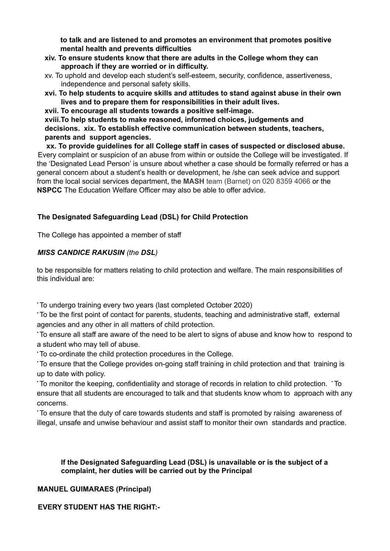**to talk and are listened to and promotes an environment that promotes positive mental health and prevents difficulties**

- **xiv. To ensure students know that there are adults in the College whom they can approach if they are worried or in difficulty.**
- xv. To uphold and develop each student's self-esteem, security, confidence, assertiveness, independence and personal safety skills.
- **xvi. To help students to acquire skills and attitudes to stand against abuse in their own lives and to prepare them for responsibilities in their adult lives.**

**xvii. To encourage all students towards a positive self-image. xviii.To help students to make reasoned, informed choices, judgements and decisions. xix. To establish effective communication between students, teachers, parents and support agencies.**

**xx. To provide guidelines for all College staff in cases of suspected or disclosed abuse.** Every complaint or suspicion of an abuse from within or outside the College will be investigated. If the 'Designated Lead Person' is unsure about whether a case should be formally referred or has a general concern about a student's health or development, he /she can seek advice and support from the local social services department, the **MASH** team (Barnet) on 020 8359 4066 or the **NSPCC** The Education Welfare Officer may also be able to offer advice.

# **The Designated Safeguarding Lead (DSL) for Child Protection**

The College has appointed a member of staff

# *MISS CANDICE RAKUSIN (the DSL)*

to be responsible for matters relating to child protection and welfare. The main responsibilities of this individual are:

• To undergo training every two years (last completed October 2020)

• To be the first point of contact for parents, students, teaching and administrative staff, external agencies and any other in all matters of child protection.

• To ensure all staff are aware of the need to be alert to signs of abuse and know how to respond to a student who may tell of abuse.

• To co-ordinate the child protection procedures in the College.

• To ensure that the College provides on-going staff training in child protection and that training is up to date with policy.

• To monitor the keeping, confidentiality and storage of records in relation to child protection. • To ensure that all students are encouraged to talk and that students know whom to approach with any concerns.

• To ensure that the duty of care towards students and staff is promoted by raising awareness of illegal, unsafe and unwise behaviour and assist staff to monitor their own standards and practice.

# **If the Designated Safeguarding Lead (DSL) is unavailable or is the subject of a complaint, her duties will be carried out by the Principal**

# **MANUEL GUIMARAES (Principal)**

# **EVERY STUDENT HAS THE RIGHT:-**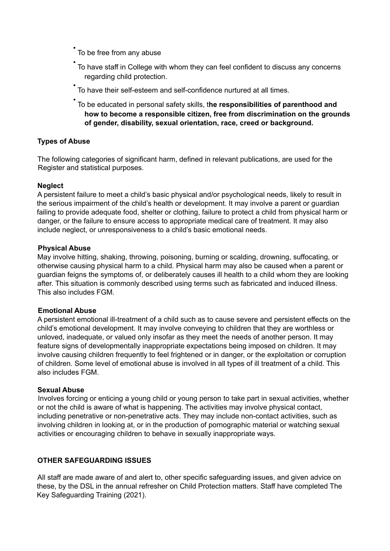• To be free from any abuse

- To have staff in College with whom they can feel confident to discuss any concerns regarding child protection.
- To have their self-esteem and self-confidence nurtured at all times.
- To be educated in personal safety skills, t**he responsibilities of parenthood and how to become a responsible citizen, free from discrimination on the grounds of gender, disability, sexual orientation, race, creed or background.**

#### **Types of Abuse**

The following categories of significant harm, defined in relevant publications, are used for the Register and statistical purposes.

#### **Neglect**

A persistent failure to meet a child's basic physical and/or psychological needs, likely to result in the serious impairment of the child's health or development. It may involve a parent or guardian failing to provide adequate food, shelter or clothing, failure to protect a child from physical harm or danger, or the failure to ensure access to appropriate medical care of treatment. It may also include neglect, or unresponsiveness to a child's basic emotional needs.

#### **Physical Abuse**

May involve hitting, shaking, throwing, poisoning, burning or scalding, drowning, suffocating, or otherwise causing physical harm to a child. Physical harm may also be caused when a parent or guardian feigns the symptoms of, or deliberately causes ill health to a child whom they are looking after. This situation is commonly described using terms such as fabricated and induced illness. This also includes FGM.

#### **Emotional Abuse**

A persistent emotional ill-treatment of a child such as to cause severe and persistent effects on the child's emotional development. It may involve conveying to children that they are worthless or unloved, inadequate, or valued only insofar as they meet the needs of another person. It may feature signs of developmentally inappropriate expectations being imposed on children. It may involve causing children frequently to feel frightened or in danger, or the exploitation or corruption of children. Some level of emotional abuse is involved in all types of ill treatment of a child. This also includes FGM.

#### **Sexual Abuse**

Involves forcing or enticing a young child or young person to take part in sexual activities, whether or not the child is aware of what is happening. The activities may involve physical contact, including penetrative or non-penetrative acts. They may include non-contact activities, such as involving children in looking at, or in the production of pornographic material or watching sexual activities or encouraging children to behave in sexually inappropriate ways.

# **OTHER SAFEGUARDING ISSUES**

All staff are made aware of and alert to, other specific safeguarding issues, and given advice on these, by the DSL in the annual refresher on Child Protection matters. Staff have completed The Key Safeguarding Training (2021).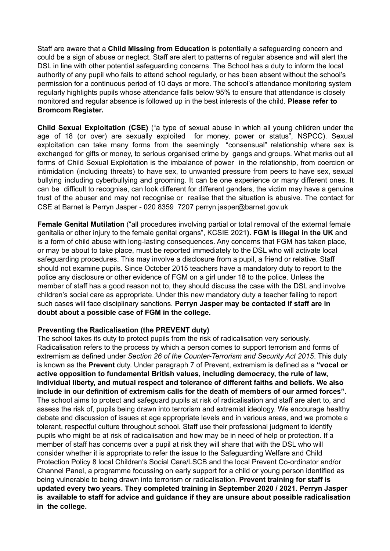Staff are aware that a **Child Missing from Education** is potentially a safeguarding concern and could be a sign of abuse or neglect. Staff are alert to patterns of regular absence and will alert the DSL in line with other potential safeguarding concerns. The School has a duty to inform the local authority of any pupil who fails to attend school regularly, or has been absent without the school's permission for a continuous period of 10 days or more. The school's attendance monitoring system regularly highlights pupils whose attendance falls below 95% to ensure that attendance is closely monitored and regular absence is followed up in the best interests of the child. **Please refer to Bromcom Register.**

**Child Sexual Exploitation (CSE)** ("a type of sexual abuse in which all young children under the age of 18 (or over) are sexually exploited for money, power or status", NSPCC). Sexual exploitation can take many forms from the seemingly "consensual" relationship where sex is exchanged for gifts or money, to serious organised crime by gangs and groups. What marks out all forms of Child Sexual Exploitation is the imbalance of power in the relationship, from coercion or intimidation (including threats) to have sex, to unwanted pressure from peers to have sex, sexual bullying including cyberbullying and grooming. It can be one experience or many different ones. It can be difficult to recognise, can look different for different genders, the victim may have a genuine trust of the abuser and may not recognise or realise that the situation is abusive. The contact for CSE at Barnet is Perryn Jasper - 020 8359 7207 perryn.jasper@barnet.gov.uk

**Female Genital Mutilation** ("all procedures involving partial or total removal of the external female genitalia or other injury to the female genital organs", KCSIE 2021**). FGM is illegal in the UK** and is a form of child abuse with long-lasting consequences. Any concerns that FGM has taken place, or may be about to take place, must be reported immediately to the DSL who will activate local safeguarding procedures. This may involve a disclosure from a pupil, a friend or relative. Staff should not examine pupils. Since October 2015 teachers have a mandatory duty to report to the police any disclosure or other evidence of FGM on a girl under 18 to the police. Unless the member of staff has a good reason not to, they should discuss the case with the DSL and involve children's social care as appropriate. Under this new mandatory duty a teacher failing to report such cases will face disciplinary sanctions. **Perryn Jasper may be contacted if staff are in doubt about a possible case of FGM in the college.**

#### **Preventing the Radicalisation (the PREVENT duty)**

The school takes its duty to protect pupils from the risk of radicalisation very seriously. Radicalisation refers to the process by which a person comes to support terrorism and forms of extremism as defined under *Section 26 of the Counter-Terrorism and Security Act 2015*. This duty is known as the **Prevent** duty. Under paragraph 7 of Prevent, extremism is defined as a **"vocal or active opposition to fundamental British values, including democracy, the rule of law, individual liberty, and mutual respect and tolerance of different faiths and beliefs. We also include in our definition of extremism calls for the death of members of our armed forces".** The school aims to protect and safeguard pupils at risk of radicalisation and staff are alert to, and assess the risk of, pupils being drawn into terrorism and extremist ideology. We encourage healthy debate and discussion of issues at age appropriate levels and in various areas, and we promote a tolerant, respectful culture throughout school. Staff use their professional judgment to identify pupils who might be at risk of radicalisation and how may be in need of help or protection. If a member of staff has concerns over a pupil at risk they will share that with the DSL who will consider whether it is appropriate to refer the issue to the Safeguarding Welfare and Child Protection Policy 8 local Children's Social Care/LSCB and the local Prevent Co-ordinator and/or Channel Panel, a programme focussing on early support for a child or young person identified as being vulnerable to being drawn into terrorism or radicalisation. **Prevent training for staff is updated every two years. They completed training in September 2020 / 2021. Perryn Jasper is available to staff for advice and guidance if they are unsure about possible radicalisation in the college.**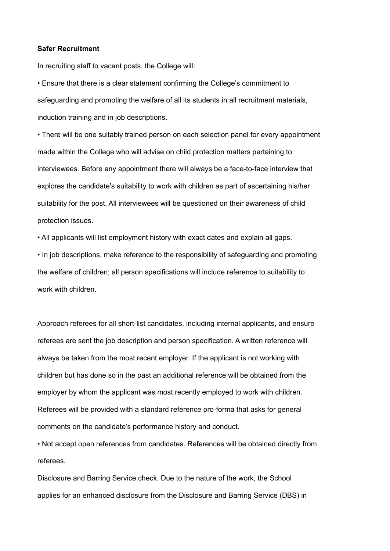#### **Safer Recruitment**

In recruiting staff to vacant posts, the College will:

• Ensure that there is a clear statement confirming the College's commitment to safeguarding and promoting the welfare of all its students in all recruitment materials, induction training and in job descriptions.

• There will be one suitably trained person on each selection panel for every appointment made within the College who will advise on child protection matters pertaining to interviewees. Before any appointment there will always be a face-to-face interview that explores the candidate's suitability to work with children as part of ascertaining his/her suitability for the post. All interviewees will be questioned on their awareness of child protection issues.

• All applicants will list employment history with exact dates and explain all gaps.

• In job descriptions, make reference to the responsibility of safeguarding and promoting the welfare of children; all person specifications will include reference to suitability to work with children.

Approach referees for all short-list candidates, including internal applicants, and ensure referees are sent the job description and person specification. A written reference will always be taken from the most recent employer. If the applicant is not working with children but has done so in the past an additional reference will be obtained from the employer by whom the applicant was most recently employed to work with children. Referees will be provided with a standard reference pro-forma that asks for general comments on the candidate's performance history and conduct.

• Not accept open references from candidates. References will be obtained directly from referees.

Disclosure and Barring Service check. Due to the nature of the work, the School applies for an enhanced disclosure from the Disclosure and Barring Service (DBS) in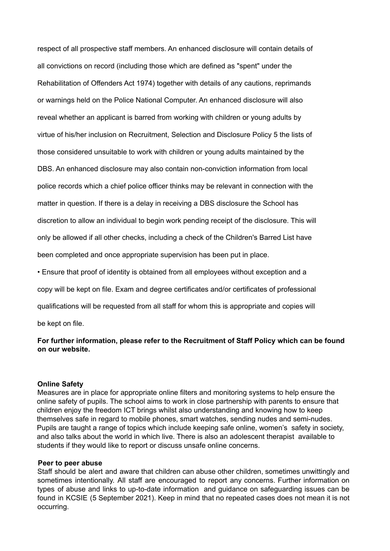respect of all prospective staff members. An enhanced disclosure will contain details of all convictions on record (including those which are defined as "spent" under the Rehabilitation of Offenders Act 1974) together with details of any cautions, reprimands or warnings held on the Police National Computer. An enhanced disclosure will also reveal whether an applicant is barred from working with children or young adults by virtue of his/her inclusion on Recruitment, Selection and Disclosure Policy 5 the lists of those considered unsuitable to work with children or young adults maintained by the DBS. An enhanced disclosure may also contain non-conviction information from local police records which a chief police officer thinks may be relevant in connection with the matter in question. If there is a delay in receiving a DBS disclosure the School has discretion to allow an individual to begin work pending receipt of the disclosure. This will only be allowed if all other checks, including a check of the Children's Barred List have been completed and once appropriate supervision has been put in place.

• Ensure that proof of identity is obtained from all employees without exception and a

copy will be kept on file. Exam and degree certificates and/or certificates of professional

qualifications will be requested from all staff for whom this is appropriate and copies will

be kept on file.

#### **For further information, please refer to the Recruitment of Staff Policy which can be found on our website.**

#### **Online Safety**

Measures are in place for appropriate online filters and monitoring systems to help ensure the online safety of pupils. The school aims to work in close partnership with parents to ensure that children enjoy the freedom ICT brings whilst also understanding and knowing how to keep themselves safe in regard to mobile phones, smart watches, sending nudes and semi-nudes. Pupils are taught a range of topics which include keeping safe online, women's safety in society, and also talks about the world in which live. There is also an adolescent therapist available to students if they would like to report or discuss unsafe online concerns.

#### **Peer to peer abuse**

Staff should be alert and aware that children can abuse other children, sometimes unwittingly and sometimes intentionally. All staff are encouraged to report any concerns. Further information on types of abuse and links to up-to-date information and guidance on safeguarding issues can be found in KCSIE (5 September 2021). Keep in mind that no repeated cases does not mean it is not occurring.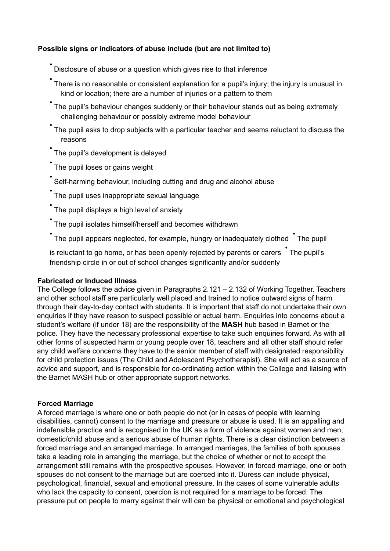# **Possible signs or indicators of abuse include (but are not limited to)**

• Disclosure of abuse or <sup>a</sup> question which gives rise to that inference

• There is no reasonable or consistent explanation for a pupil's injury; the injury is unusual in kind or location; there are a number of injuries or a pattern to them

- The pupil's behaviour changes suddenly or their behaviour stands out as being extremely challenging behaviour or possibly extreme model behaviour
- The pupil asks to drop subjects with a particular teacher and seems reluctant to discuss the reasons
- The pupil's development is delayed
- The pupil loses or gains weight
- Self-harming behaviour, including cutting and drug and alcohol abuse
- The pupil uses inappropriate sexual language

• The pupil displays a high level of anxiety

• The pupil isolates himself/herself and becomes withdrawn

\* The pupil appears neglected, for example, hungry or inadequately clothed \* The pupil

is reluctant to go home, or has been openly rejected by parents or carers • The pupil's friendship circle in or out of school changes significantly and/or suddenly

#### **Fabricated or Induced Illness**

The College follows the advice given in Paragraphs 2.121 – 2.132 of Working Together. Teachers and other school staff are particularly well placed and trained to notice outward signs of harm through their day-to-day contact with students. It is important that staff do not undertake their own enquiries if they have reason to suspect possible or actual harm. Enquiries into concerns about a student's welfare (if under 18) are the responsibility of the **MASH** hub based in Barnet or the police. They have the necessary professional expertise to take such enquiries forward. As with all other forms of suspected harm or young people over 18, teachers and all other staff should refer any child welfare concerns they have to the senior member of staff with designated responsibility for child protection issues (The Child and Adolescent Psychotherapist). She will act as a source of advice and support, and is responsible for co-ordinating action within the College and liaising with the Barnet MASH hub or other appropriate support networks.

#### **Forced Marriage**

A forced marriage is where one or both people do not (or in cases of people with learning disabilities, cannot) consent to the marriage and pressure or abuse is used. It is an appalling and indefensible practice and is recognised in the UK as a form of violence against women and men, domestic/child abuse and a serious abuse of human rights. There is a clear distinction between a forced marriage and an arranged marriage. In arranged marriages, the families of both spouses take a leading role in arranging the marriage, but the choice of whether or not to accept the arrangement still remains with the prospective spouses. However, in forced marriage, one or both spouses do not consent to the marriage but are coerced into it. Duress can include physical, psychological, financial, sexual and emotional pressure. In the cases of some vulnerable adults who lack the capacity to consent, coercion is not required for a marriage to be forced. The pressure put on people to marry against their will can be physical or emotional and psychological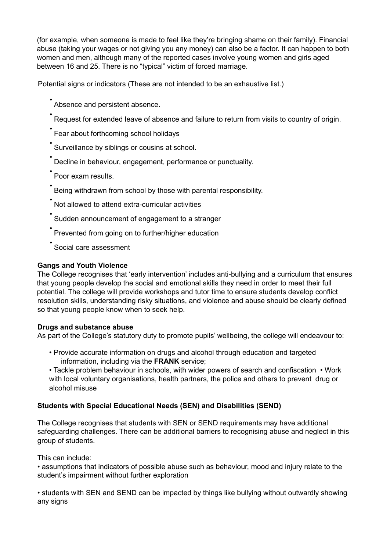(for example, when someone is made to feel like they're bringing shame on their family). Financial abuse (taking your wages or not giving you any money) can also be a factor. It can happen to both women and men, although many of the reported cases involve young women and girls aged between 16 and 25. There is no "typical" victim of forced marriage.

Potential signs or indicators (These are not intended to be an exhaustive list.)

• Absence and persistent absence.

Request for extended leave of absence and failure to return from visits to country of origin.

• Fear about forthcoming school holidays

Surveillance by siblings or cousins at school.

• Decline in behaviour, engagement, performance or punctuality.

• Poor exam results.

• Being withdrawn from school by those with parental responsibility.

• Not allowed to attend extra-curricular activities

• Sudden announcement of engagement to <sup>a</sup> stranger

• Prevented from going on to further/higher education

• Social care assessment

#### **Gangs and Youth Violence**

The College recognises that 'early intervention' includes anti-bullying and a curriculum that ensures that young people develop the social and emotional skills they need in order to meet their full potential. The college will provide workshops and tutor time to ensure students develop conflict resolution skills, understanding risky situations, and violence and abuse should be clearly defined so that young people know when to seek help.

#### **Drugs and substance abuse**

As part of the College's statutory duty to promote pupils' wellbeing, the college will endeavour to:

• Provide accurate information on drugs and alcohol through education and targeted information, including via the **FRANK** service;

• Tackle problem behaviour in schools, with wider powers of search and confiscation • Work with local voluntary organisations, health partners, the police and others to prevent drug or alcohol misuse

#### **Students with Special Educational Needs (SEN) and Disabilities (SEND)**

The College recognises that students with SEN or SEND requirements may have additional safeguarding challenges. There can be additional barriers to recognising abuse and neglect in this group of students.

This can include:

• assumptions that indicators of possible abuse such as behaviour, mood and injury relate to the student's impairment without further exploration

• students with SEN and SEND can be impacted by things like bullying without outwardly showing any signs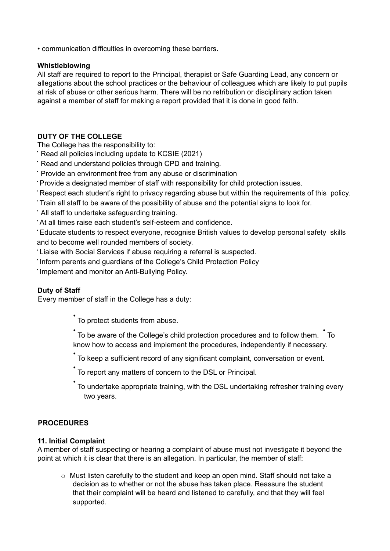• communication difficulties in overcoming these barriers.

#### **Whistleblowing**

All staff are required to report to the Principal, therapist or Safe Guarding Lead, any concern or allegations about the school practices or the behaviour of colleagues which are likely to put pupils at risk of abuse or other serious harm. There will be no retribution or disciplinary action taken against a member of staff for making a report provided that it is done in good faith.

#### **DUTY OF THE COLLEGE**

The College has the responsibility to:

- Read all policies including update to KCSIE (2021)
- Read and understand policies through CPD and training.
- Provide an environment free from any abuse or discrimination
- Provide a designated member of staff with responsibility for child protection issues.
- Respect each student's right to privacy regarding abuse but within the requirements of this policy.
- Train all staff to be aware of the possibility of abuse and the potential signs to look for.
- All staff to undertake safeguarding training.

• At all times raise each student's self-esteem and confidence.

• Educate students to respect everyone, recognise British values to develop personal safety skills and to become well rounded members of society.

• Liaise with Social Services if abuse requiring a referral is suspected.

• Inform parents and guardians of the College's Child Protection Policy

• Implement and monitor an Anti-Bullying Policy.

# **Duty of Staff**

Every member of staff in the College has a duty:

• To protect students from abuse.

• To be aware of the College's child protection procedures and to follow them. • To know how to access and implement the procedures, independently if necessary.

- To keep a sufficient record of any significant complaint, conversation or event.
- To report any matters of concern to the DSL or Principal.
- To undertake appropriate training, with the DSL undertaking refresher training every two years.

# **PROCEDURES**

#### **11. Initial Complaint**

A member of staff suspecting or hearing a complaint of abuse must not investigate it beyond the point at which it is clear that there is an allegation. In particular, the member of staff:

o Must listen carefully to the student and keep an open mind. Staff should not take a decision as to whether or not the abuse has taken place. Reassure the student that their complaint will be heard and listened to carefully, and that they will feel supported.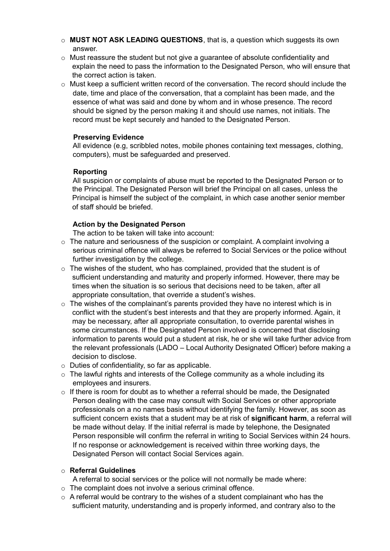- o **MUST NOT ASK LEADING QUESTIONS**, that is, a question which suggests its own answer.
- o Must reassure the student but not give a guarantee of absolute confidentiality and explain the need to pass the information to the Designated Person, who will ensure that the correct action is taken.
- $\circ$  Must keep a sufficient written record of the conversation. The record should include the date, time and place of the conversation, that a complaint has been made, and the essence of what was said and done by whom and in whose presence. The record should be signed by the person making it and should use names, not initials. The record must be kept securely and handed to the Designated Person.

#### **Preserving Evidence**

All evidence (e.g, scribbled notes, mobile phones containing text messages, clothing, computers), must be safeguarded and preserved.

#### **Reporting**

All suspicion or complaints of abuse must be reported to the Designated Person or to the Principal. The Designated Person will brief the Principal on all cases, unless the Principal is himself the subject of the complaint, in which case another senior member of staff should be briefed.

#### **Action by the Designated Person**

The action to be taken will take into account:

- $\circ$  The nature and seriousness of the suspicion or complaint. A complaint involving a serious criminal offence will always be referred to Social Services or the police without further investigation by the college.
- $\circ$  The wishes of the student, who has complained, provided that the student is of sufficient understanding and maturity and properly informed. However, there may be times when the situation is so serious that decisions need to be taken, after all appropriate consultation, that override a student's wishes.
- $\circ$  The wishes of the complainant's parents provided they have no interest which is in conflict with the student's best interests and that they are properly informed. Again, it may be necessary, after all appropriate consultation, to override parental wishes in some circumstances. If the Designated Person involved is concerned that disclosing information to parents would put a student at risk, he or she will take further advice from the relevant professionals (LADO – Local Authority Designated Officer) before making a decision to disclose.
- o Duties of confidentiality, so far as applicable.
- $\circ$  The lawful rights and interests of the College community as a whole including its employees and insurers.
- $\circ$  If there is room for doubt as to whether a referral should be made, the Designated Person dealing with the case may consult with Social Services or other appropriate professionals on a no names basis without identifying the family. However, as soon as sufficient concern exists that a student may be at risk of **significant harm**, a referral will be made without delay. If the initial referral is made by telephone, the Designated Person responsible will confirm the referral in writing to Social Services within 24 hours. If no response or acknowledgement is received within three working days, the Designated Person will contact Social Services again.

#### o **Referral Guidelines**

A referral to social services or the police will not normally be made where:

- o The complaint does not involve a serious criminal offence.
- $\circ$  A referral would be contrary to the wishes of a student complainant who has the sufficient maturity, understanding and is properly informed, and contrary also to the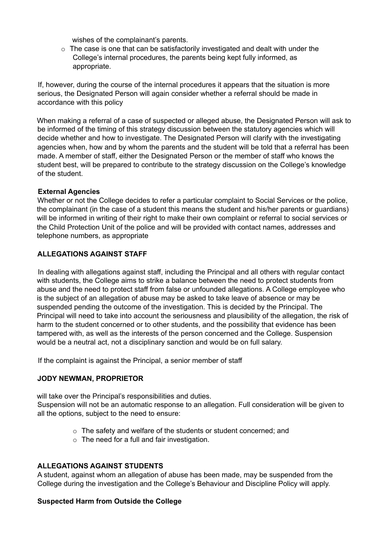wishes of the complainant's parents.

 $\circ$  The case is one that can be satisfactorily investigated and dealt with under the College's internal procedures, the parents being kept fully informed, as appropriate.

If, however, during the course of the internal procedures it appears that the situation is more serious, the Designated Person will again consider whether a referral should be made in accordance with this policy

When making a referral of a case of suspected or alleged abuse, the Designated Person will ask to be informed of the timing of this strategy discussion between the statutory agencies which will decide whether and how to investigate. The Designated Person will clarify with the investigating agencies when, how and by whom the parents and the student will be told that a referral has been made. A member of staff, either the Designated Person or the member of staff who knows the student best, will be prepared to contribute to the strategy discussion on the College's knowledge of the student.

#### **External Agencies**

Whether or not the College decides to refer a particular complaint to Social Services or the police, the complainant (in the case of a student this means the student and his/her parents or guardians) will be informed in writing of their right to make their own complaint or referral to social services or the Child Protection Unit of the police and will be provided with contact names, addresses and telephone numbers, as appropriate

#### **ALLEGATIONS AGAINST STAFF**

In dealing with allegations against staff, including the Principal and all others with regular contact with students, the College aims to strike a balance between the need to protect students from abuse and the need to protect staff from false or unfounded allegations. A College employee who is the subject of an allegation of abuse may be asked to take leave of absence or may be suspended pending the outcome of the investigation. This is decided by the Principal. The Principal will need to take into account the seriousness and plausibility of the allegation, the risk of harm to the student concerned or to other students, and the possibility that evidence has been tampered with, as well as the interests of the person concerned and the College. Suspension would be a neutral act, not a disciplinary sanction and would be on full salary.

If the complaint is against the Principal, a senior member of staff

#### **JODY NEWMAN, PROPRIETOR**

will take over the Principal's responsibilities and duties. Suspension will not be an automatic response to an allegation. Full consideration will be given to all the options, subject to the need to ensure:

- o The safety and welfare of the students or student concerned; and
- $\circ$  The need for a full and fair investigation.

#### **ALLEGATIONS AGAINST STUDENTS**

A student, against whom an allegation of abuse has been made, may be suspended from the College during the investigation and the College's Behaviour and Discipline Policy will apply.

#### **Suspected Harm from Outside the College**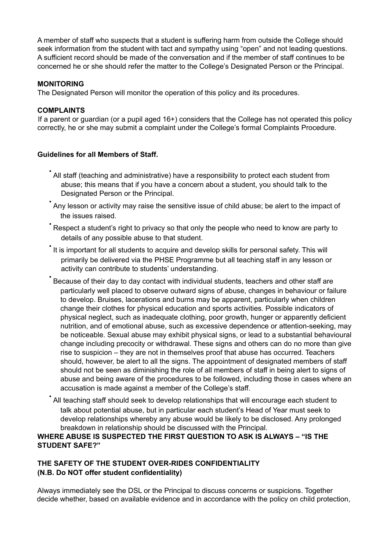A member of staff who suspects that a student is suffering harm from outside the College should seek information from the student with tact and sympathy using "open" and not leading questions. A sufficient record should be made of the conversation and if the member of staff continues to be concerned he or she should refer the matter to the College's Designated Person or the Principal.

#### **MONITORING**

The Designated Person will monitor the operation of this policy and its procedures.

#### **COMPLAINTS**

If a parent or guardian (or a pupil aged 16+) considers that the College has not operated this policy correctly, he or she may submit a complaint under the College's formal Complaints Procedure.

# **Guidelines for all Members of Staff.**

- All staff (teaching and administrative) have <sup>a</sup> responsibility to protect each student from abuse; this means that if you have a concern about a student, you should talk to the Designated Person or the Principal.
- Any lesson or activity may raise the sensitive issue of child abuse; be alert to the impact of the issues raised.
- Respect <sup>a</sup> student's right to privacy so that only the people who need to know are party to details of any possible abuse to that student.
- It is important for all students to acquire and develop skills for personal safety. This will primarily be delivered via the PHSE Programme but all teaching staff in any lesson or activity can contribute to students' understanding.
- Because of their day to day contact with individual students, teachers and other staff are particularly well placed to observe outward signs of abuse, changes in behaviour or failure to develop. Bruises, lacerations and burns may be apparent, particularly when children change their clothes for physical education and sports activities. Possible indicators of physical neglect, such as inadequate clothing, poor growth, hunger or apparently deficient nutrition, and of emotional abuse, such as excessive dependence or attention-seeking, may be noticeable. Sexual abuse may exhibit physical signs, or lead to a substantial behavioural change including precocity or withdrawal. These signs and others can do no more than give rise to suspicion – they are not in themselves proof that abuse has occurred. Teachers should, however, be alert to all the signs. The appointment of designated members of staff should not be seen as diminishing the role of all members of staff in being alert to signs of abuse and being aware of the procedures to be followed, including those in cases where an accusation is made against a member of the College's staff.
- All teaching staff should seek to develop relationships that will encourage each student to talk about potential abuse, but in particular each student's Head of Year must seek to develop relationships whereby any abuse would be likely to be disclosed. Any prolonged breakdown in relationship should be discussed with the Principal.

#### **WHERE ABUSE IS SUSPECTED THE FIRST QUESTION TO ASK IS ALWAYS – "IS THE STUDENT SAFE?"**

# **THE SAFETY OF THE STUDENT OVER-RIDES CONFIDENTIALITY (N.B. Do NOT offer student confidentiality)**

Always immediately see the DSL or the Principal to discuss concerns or suspicions. Together decide whether, based on available evidence and in accordance with the policy on child protection,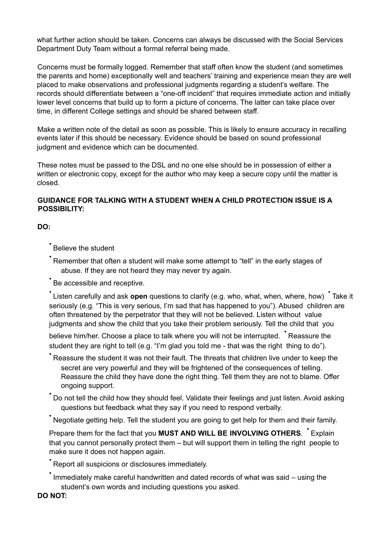what further action should be taken. Concerns can always be discussed with the Social Services Department Duty Team without a formal referral being made.

Concerns must be formally logged. Remember that staff often know the student (and sometimes the parents and home) exceptionally well and teachers' training and experience mean they are well placed to make observations and professional judgments regarding a student's welfare. The records should differentiate between a "one-off incident" that requires immediate action and initially lower level concerns that build up to form a picture of concerns. The latter can take place over time, in different College settings and should be shared between staff.

Make a written note of the detail as soon as possible. This is likely to ensure accuracy in recalling events later if this should be necessary. Evidence should be based on sound professional judgment and evidence which can be documented.

These notes must be passed to the DSL and no one else should be in possession of either a written or electronic copy, except for the author who may keep a secure copy until the matter is closed.

#### **GUIDANCE FOR TALKING WITH A STUDENT WHEN A CHILD PROTECTION ISSUE IS A POSSIBILITY:**

**DO:**

• Believe the student

• Remember that often <sup>a</sup> student will make some attempt to "tell" in the early stages of abuse. If they are not heard they may never try again.

Be accessible and receptive.

•<br>Listen carefully and ask **open** questions to clarify (e.g. who, what, when, where, how) • Take it seriously (e.g. "This is very serious, I'm sad that has happened to you"). Abused children are often threatened by the perpetrator that they will not be believed. Listen without value judgments and show the child that you take their problem seriously. Tell the child that you

believe him/her. Choose a place to talk where you will not be interrupted. • Reassure the student they are right to tell (e.g. "I'm glad you told me - that was the right thing to do").

• Reassure the student it was not their fault. The threats that children live under to keep the secret are very powerful and they will be frightened of the consequences of telling. Reassure the child they have done the right thing. Tell them they are not to blame. Offer ongoing support.

• Do not tell the child how they should feel. Validate their feelings and just listen. Avoid asking questions but feedback what they say if you need to respond verbally.

• Negotiate getting help. Tell the student you are going to get help for them and their family.

Prepare them for the fact that you **MUST AND WILL BE INVOLVING OTHERS**. • Explain that you cannot personally protect them – but will support them in telling the right people to make sure it does not happen again.

• Report all suspicions or disclosures immediately.

• Immediately make careful handwritten and dated records of what was said – using the student's own words and including questions you asked.

**DO NOT:**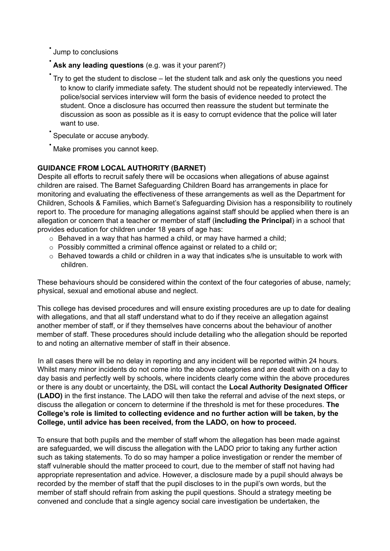• Jump to conclusions

• **Ask any leading questions** (e.g. was it your parent?)

• Try to get the student to disclose – let the student talk and ask only the questions you need to know to clarify immediate safety. The student should not be repeatedly interviewed. The police/social services interview will form the basis of evidence needed to protect the student. Once a disclosure has occurred then reassure the student but terminate the discussion as soon as possible as it is easy to corrupt evidence that the police will later want to use.

Speculate or accuse anybody.

Make promises you cannot keep.

# **GUIDANCE FROM LOCAL AUTHORITY (BARNET)**

Despite all efforts to recruit safely there will be occasions when allegations of abuse against children are raised. The Barnet Safeguarding Children Board has arrangements in place for monitoring and evaluating the effectiveness of these arrangements as well as the Department for Children, Schools & Families, which Barnet's Safeguarding Division has a responsibility to routinely report to. The procedure for managing allegations against staff should be applied when there is an allegation or concern that a teacher or member of staff (**including the Principal**) in a school that provides education for children under 18 years of age has:

- $\circ$  Behaved in a way that has harmed a child, or may have harmed a child;
- o Possibly committed a criminal offence against or related to a child or;
- $\circ$  Behaved towards a child or children in a way that indicates s/he is unsuitable to work with children.

These behaviours should be considered within the context of the four categories of abuse, namely; physical, sexual and emotional abuse and neglect.

This college has devised procedures and will ensure existing procedures are up to date for dealing with allegations, and that all staff understand what to do if they receive an allegation against another member of staff, or if they themselves have concerns about the behaviour of another member of staff. These procedures should include detailing who the allegation should be reported to and noting an alternative member of staff in their absence.

In all cases there will be no delay in reporting and any incident will be reported within 24 hours. Whilst many minor incidents do not come into the above categories and are dealt with on a day to day basis and perfectly well by schools, where incidents clearly come within the above procedures or there is any doubt or uncertainty, the DSL will contact the **Local Authority Designated Officer (LADO)** in the first instance. The LADO will then take the referral and advise of the next steps, or discuss the allegation or concern to determine if the threshold is met for these procedures. **The College's role is limited to collecting evidence and no further action will be taken, by the College, until advice has been received, from the LADO, on how to proceed.**

To ensure that both pupils and the member of staff whom the allegation has been made against are safeguarded, we will discuss the allegation with the LADO prior to taking any further action such as taking statements. To do so may hamper a police investigation or render the member of staff vulnerable should the matter proceed to court, due to the member of staff not having had appropriate representation and advice. However, a disclosure made by a pupil should always be recorded by the member of staff that the pupil discloses to in the pupil's own words, but the member of staff should refrain from asking the pupil questions. Should a strategy meeting be convened and conclude that a single agency social care investigation be undertaken, the